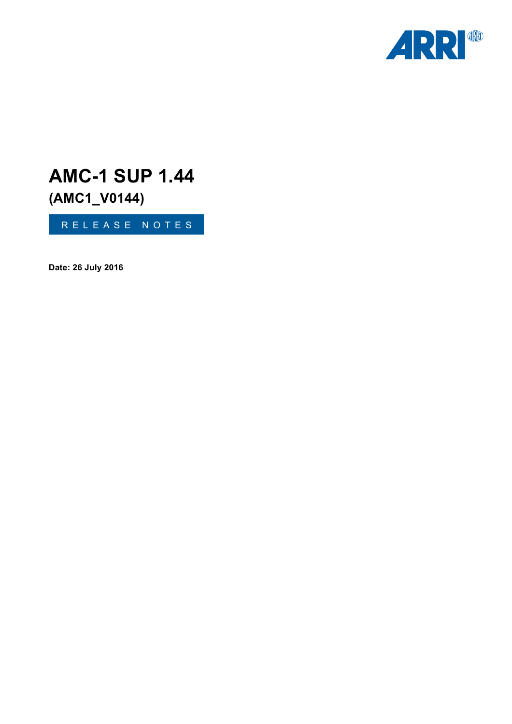

# **AMC-1 SUP 1.44**

**(AMC1\_V0144)**

RELEASE NOTES

**Date: 26 July 2016**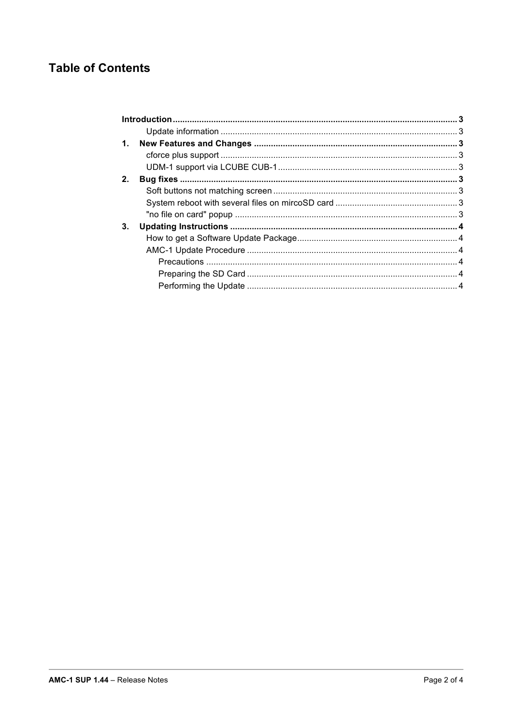# **Table of Contents**

| 2. |  |  |
|----|--|--|
|    |  |  |
|    |  |  |
|    |  |  |
| 3. |  |  |
|    |  |  |
|    |  |  |
|    |  |  |
|    |  |  |
|    |  |  |
|    |  |  |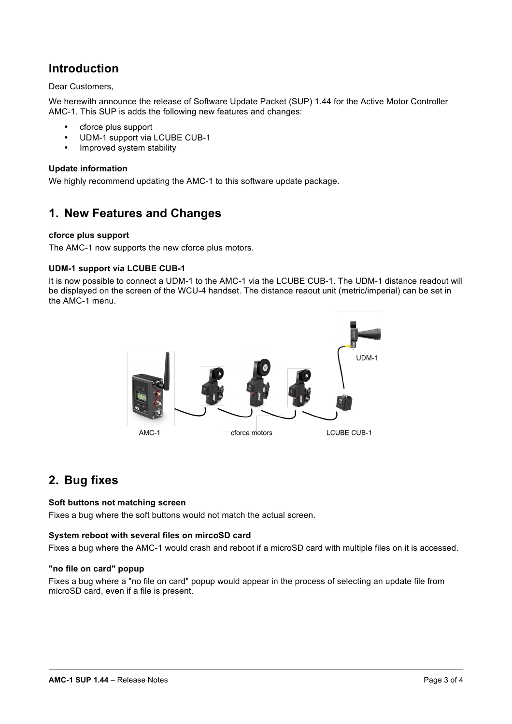# **Introduction**

## Dear Customers,

We herewith announce the release of Software Update Packet (SUP) 1.44 for the Active Motor Controller AMC-1. This SUP is adds the following new features and changes:

- cforce plus support
- UDM-1 support via LCUBE CUB-1
- Improved system stability

#### **Update information**

We highly recommend updating the AMC-1 to this software update package.

# **1. New Features and Changes**

#### **cforce plus support**

The AMC-1 now supports the new cforce plus motors.

#### **UDM-1 support via LCUBE CUB-1**

It is now possible to connect a UDM-1 to the AMC-1 via the LCUBE CUB-1. The UDM-1 distance readout will be displayed on the screen of the WCU-4 handset. The distance reaout unit (metric/imperial) can be set in the AMC-1 menu.



# **2. Bug fixes**

#### **Soft buttons not matching screen**

Fixes a bug where the soft buttons would not match the actual screen.

#### **System reboot with several files on mircoSD card**

Fixes a bug where the AMC-1 would crash and reboot if a microSD card with multiple files on it is accessed.

#### **"no file on card" popup**

Fixes a bug where a "no file on card" popup would appear in the process of selecting an update file from microSD card, even if a file is present.